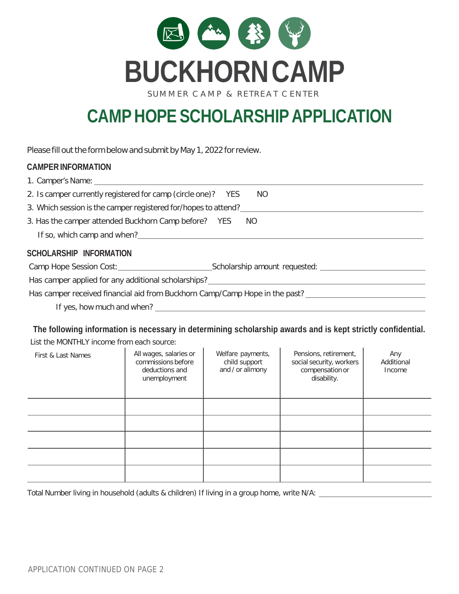

SUMMER CAMP & RETREAT CENTER

## **CAMPHOPESCHOLARSHIPAPPLICATION**

Please fill out the form below and submit by May 1, 2022 for review.

## **CAMPERINFORMATION**

| 1. Camper's Name: 1. 2008. 2009. 2009. 2009. 2009. 2009. 2009. 2009. 2009. 2009. 2009. 2009. 2009. 2009. 2009                                                                                                                 |                               |  |  |
|-------------------------------------------------------------------------------------------------------------------------------------------------------------------------------------------------------------------------------|-------------------------------|--|--|
| 2. Is camper currently registered for camp (circle one)? YES                                                                                                                                                                  | NO.                           |  |  |
| 3. Which session is the camper registered for/hopes to attend?                                                                                                                                                                |                               |  |  |
| 3. Has the camper attended Buckhorn Camp before? YES                                                                                                                                                                          | NO.                           |  |  |
| If so, which camp and when?                                                                                                                                                                                                   |                               |  |  |
| SCHOLARSHIP INFORMATION                                                                                                                                                                                                       |                               |  |  |
| Camp Hope Session Cost: Camp Hope Session Cost:                                                                                                                                                                               | Scholarship amount requested: |  |  |
| Has camper applied for any additional scholarships? Letterman and the state of the state of the state of the state of the state of the state of the state of the state of the state of the state of the state of the state of |                               |  |  |
| Has camper received financial aid from Buckhorn Camp/Camp Hope in the past?                                                                                                                                                   |                               |  |  |
|                                                                                                                                                                                                                               |                               |  |  |

If yes, how much and when?

**The following information is necessary in determining scholarship awards and is kept strictly confidential.**

List the MONTHLY income from each source:

| First & Last Names | All wages, salaries or<br>commissions before<br>deductions and<br>unemployment | Welfare payments,<br>child support<br>and / or alimony | Pensions, retirement,<br>social security, workers<br>compensation or<br>disability. | Any<br>Additional<br>Income |
|--------------------|--------------------------------------------------------------------------------|--------------------------------------------------------|-------------------------------------------------------------------------------------|-----------------------------|
|                    |                                                                                |                                                        |                                                                                     |                             |
|                    |                                                                                |                                                        |                                                                                     |                             |
|                    |                                                                                |                                                        |                                                                                     |                             |
|                    |                                                                                |                                                        |                                                                                     |                             |
|                    |                                                                                |                                                        |                                                                                     |                             |

Total Number living in household (adults & children) If living in a group home, write N/A: